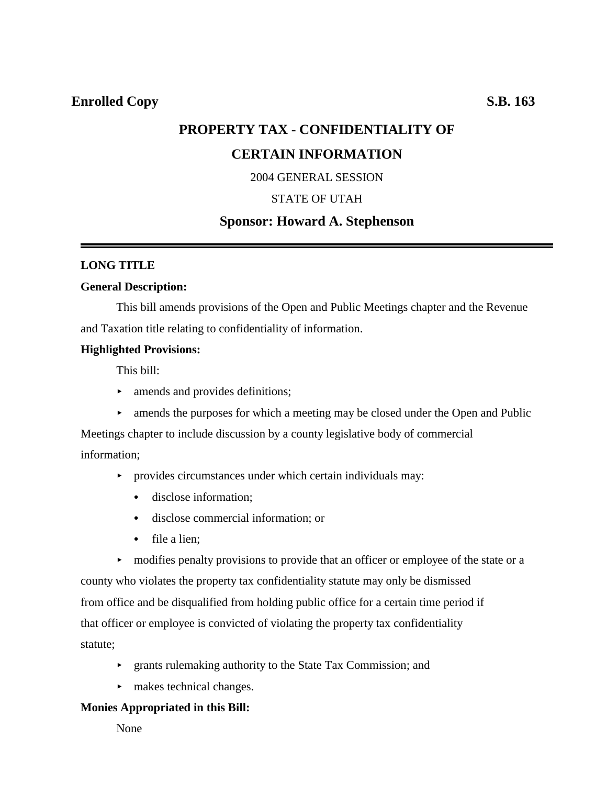# **PROPERTY TAX - CONFIDENTIALITY OF CERTAIN INFORMATION**

2004 GENERAL SESSION

### STATE OF UTAH

## **Sponsor: Howard A. Stephenson**

### **LONG TITLE**

#### **General Description:**

This bill amends provisions of the Open and Public Meetings chapter and the Revenue and Taxation title relating to confidentiality of information.

### **Highlighted Provisions:**

This bill:

- $\blacktriangleright$  amends and provides definitions;
- $\triangleright$  amends the purposes for which a meeting may be closed under the Open and Public

Meetings chapter to include discussion by a county legislative body of commercial information;

- $\rightarrow$  provides circumstances under which certain individuals may:
	- disclose information:
	- disclose commercial information; or
	- $\bullet$  file a lien:

• modifies penalty provisions to provide that an officer or employee of the state or a county who violates the property tax confidentiality statute may only be dismissed from office and be disqualified from holding public office for a certain time period if that officer or employee is convicted of violating the property tax confidentiality statute;

- < grants rulemaking authority to the State Tax Commission; and
- $\blacktriangleright$  makes technical changes.

### **Monies Appropriated in this Bill:**

None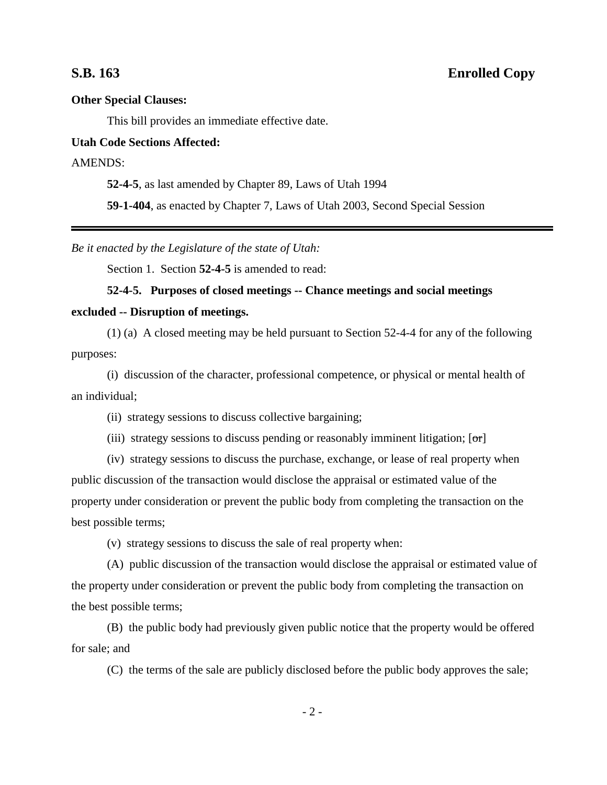## **S.B. 163 Enrolled Copy**

#### **Other Special Clauses:**

This bill provides an immediate effective date.

#### **Utah Code Sections Affected:**

### AMENDS:

**52-4-5**, as last amended by Chapter 89, Laws of Utah 1994

**59-1-404**, as enacted by Chapter 7, Laws of Utah 2003, Second Special Session

*Be it enacted by the Legislature of the state of Utah:*

Section 1. Section **52-4-5** is amended to read:

### **52-4-5. Purposes of closed meetings -- Chance meetings and social meetings**

#### **excluded -- Disruption of meetings.**

(1) (a) A closed meeting may be held pursuant to Section 52-4-4 for any of the following purposes:

(i) discussion of the character, professional competence, or physical or mental health of an individual;

(ii) strategy sessions to discuss collective bargaining;

(iii) strategy sessions to discuss pending or reasonably imminent litigation;  $[\sigma r]$ 

(iv) strategy sessions to discuss the purchase, exchange, or lease of real property when public discussion of the transaction would disclose the appraisal or estimated value of the property under consideration or prevent the public body from completing the transaction on the best possible terms;

(v) strategy sessions to discuss the sale of real property when:

(A) public discussion of the transaction would disclose the appraisal or estimated value of the property under consideration or prevent the public body from completing the transaction on the best possible terms;

(B) the public body had previously given public notice that the property would be offered for sale; and

(C) the terms of the sale are publicly disclosed before the public body approves the sale;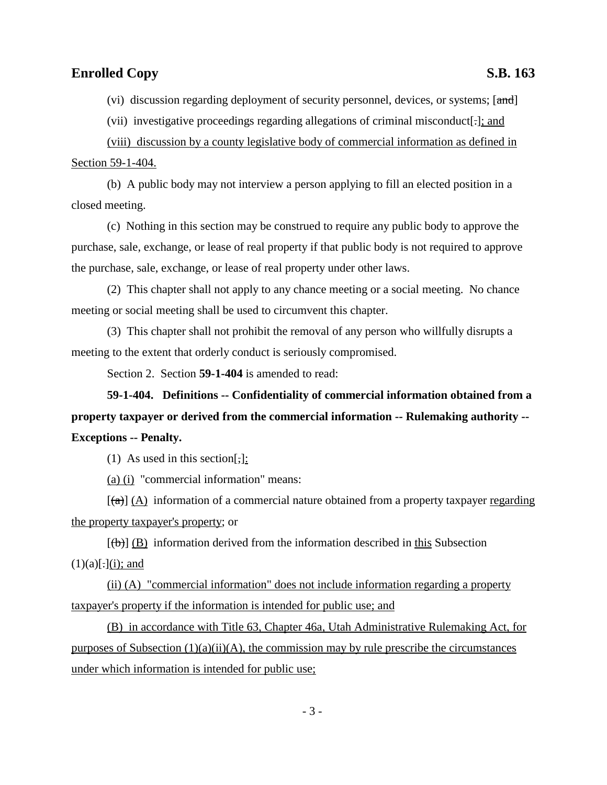(vi) discussion regarding deployment of security personnel, devices, or systems; [and]

(vii) investigative proceedings regarding allegations of criminal misconduct[.]; and

(viii) discussion by a county legislative body of commercial information as defined in Section 59-1-404.

(b) A public body may not interview a person applying to fill an elected position in a closed meeting.

(c) Nothing in this section may be construed to require any public body to approve the purchase, sale, exchange, or lease of real property if that public body is not required to approve the purchase, sale, exchange, or lease of real property under other laws.

(2) This chapter shall not apply to any chance meeting or a social meeting. No chance meeting or social meeting shall be used to circumvent this chapter.

(3) This chapter shall not prohibit the removal of any person who willfully disrupts a meeting to the extent that orderly conduct is seriously compromised.

Section 2. Section **59-1-404** is amended to read:

**59-1-404. Definitions -- Confidentiality of commercial information obtained from a property taxpayer or derived from the commercial information -- Rulemaking authority -- Exceptions -- Penalty.**

(1) As used in this section[,]:

(a) (i) "commercial information" means:

 $[\text{A}]$  (A) information of a commercial nature obtained from a property taxpayer regarding the property taxpayer's property; or

 $[(\theta)]$  (B) information derived from the information described in this Subsection  $(1)(a)$ [.](i); and

(ii) (A) "commercial information" does not include information regarding a property taxpayer's property if the information is intended for public use; and

(B) in accordance with Title 63, Chapter 46a, Utah Administrative Rulemaking Act, for purposes of Subsection  $(1)(a)(ii)(A)$ , the commission may by rule prescribe the circumstances under which information is intended for public use;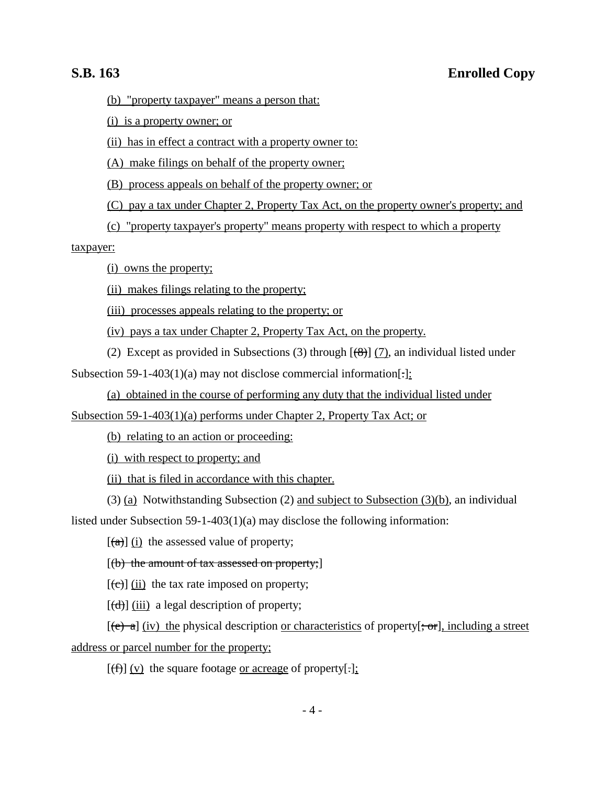(b) "property taxpayer" means a person that:

(i) is a property owner; or

(ii) has in effect a contract with a property owner to:

(A) make filings on behalf of the property owner;

(B) process appeals on behalf of the property owner; or

(C) pay a tax under Chapter 2, Property Tax Act, on the property owner's property; and

(c) "property taxpayer's property" means property with respect to which a property

taxpayer:

(i) owns the property;

(ii) makes filings relating to the property;

(iii) processes appeals relating to the property; or

(iv) pays a tax under Chapter 2, Property Tax Act, on the property.

(2) Except as provided in Subsections (3) through  $[\frac{(8)}{(7)}]$ , an individual listed under Subsection 59-1-403(1)(a) may not disclose commercial information[-]:

(a) obtained in the course of performing any duty that the individual listed under

Subsection 59-1-403(1)(a) performs under Chapter 2, Property Tax Act; or

(b) relating to an action or proceeding:

(i) with respect to property; and

(ii) that is filed in accordance with this chapter.

(3) (a) Notwithstanding Subsection (2) and subject to Subsection (3)(b), an individual listed under Subsection 59-1-403(1)(a) may disclose the following information:

 $\left[\frac{a}{a}\right]$  (i) the assessed value of property;

 $[(b)$  the amount of tax assessed on property;

 $[\text{e}(\hat{\mathbf{c}})]$  (ii) the tax rate imposed on property;

 $[\text{(\text{d})}]$  (iii) a legal description of property;

 $[(e) a] (iv)$  the physical description <u>or characteristics</u> of property  $[-\sigma r]$ , including a street address or parcel number for the property;

 $[(f)$  (v) the square footage <u>or acreage</u> of property[.];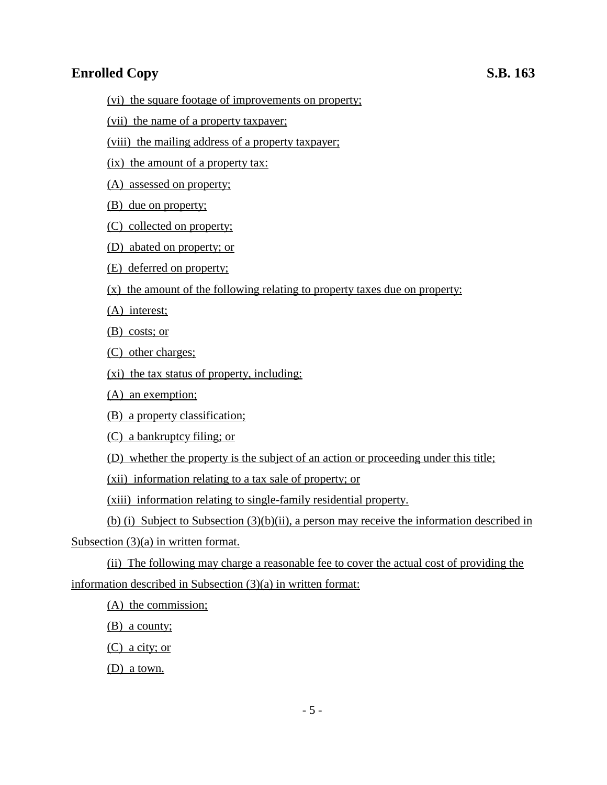- (vi) the square footage of improvements on property;
- (vii) the name of a property taxpayer;
- (viii) the mailing address of a property taxpayer;
- (ix) the amount of a property tax:
- (A) assessed on property;
- (B) due on property;
- (C) collected on property;
- (D) abated on property; or
- (E) deferred on property;
- (x) the amount of the following relating to property taxes due on property:
- (A) interest;
- (B) costs; or
- (C) other charges;
- (xi) the tax status of property, including:
- (A) an exemption;
- (B) a property classification;
- (C) a bankruptcy filing; or
- (D) whether the property is the subject of an action or proceeding under this title;
- (xii) information relating to a tax sale of property; or
- (xiii) information relating to single-family residential property.
- (b) (i) Subject to Subsection (3)(b)(ii), a person may receive the information described in
- Subsection (3)(a) in written format.
- (ii) The following may charge a reasonable fee to cover the actual cost of providing the information described in Subsection (3)(a) in written format:
	- (A) the commission;
	- (B) a county;
	- (C) a city; or
	- (D) a town.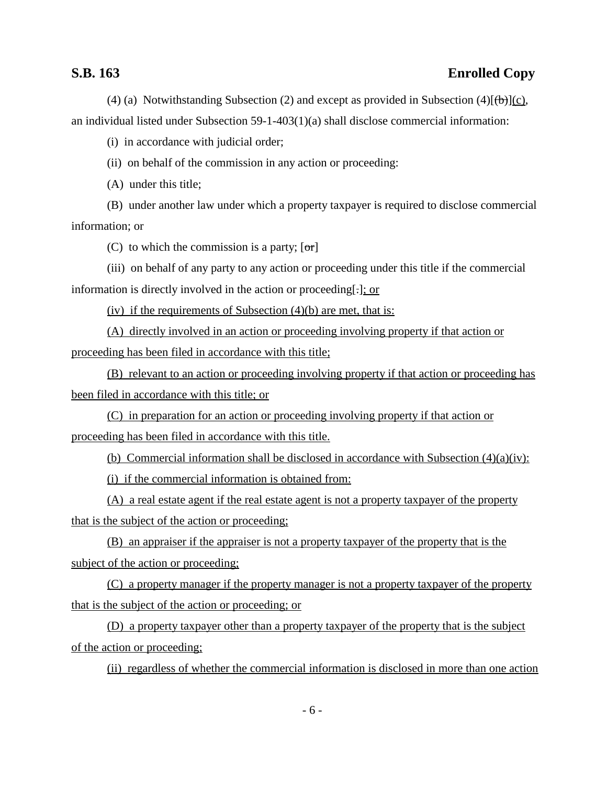## **S.B. 163 Enrolled Copy**

(4) (a) Notwithstanding Subsection (2) and except as provided in Subsection (4) $[\theta_{\theta}](c)$ , an individual listed under Subsection 59-1-403(1)(a) shall disclose commercial information:

(i) in accordance with judicial order;

(ii) on behalf of the commission in any action or proceeding:

(A) under this title;

(B) under another law under which a property taxpayer is required to disclose commercial information; or

(C) to which the commission is a party;  $\lceil \sigma r \rceil$ 

(iii) on behalf of any party to any action or proceeding under this title if the commercial information is directly involved in the action or proceeding[.]; or

(iv) if the requirements of Subsection  $(4)(b)$  are met, that is:

(A) directly involved in an action or proceeding involving property if that action or proceeding has been filed in accordance with this title;

(B) relevant to an action or proceeding involving property if that action or proceeding has been filed in accordance with this title; or

(C) in preparation for an action or proceeding involving property if that action or proceeding has been filed in accordance with this title.

(b) Commercial information shall be disclosed in accordance with Subsection (4)(a)(iv):

(i) if the commercial information is obtained from:

(A) a real estate agent if the real estate agent is not a property taxpayer of the property that is the subject of the action or proceeding;

(B) an appraiser if the appraiser is not a property taxpayer of the property that is the subject of the action or proceeding;

(C) a property manager if the property manager is not a property taxpayer of the property that is the subject of the action or proceeding; or

(D) a property taxpayer other than a property taxpayer of the property that is the subject of the action or proceeding;

(ii) regardless of whether the commercial information is disclosed in more than one action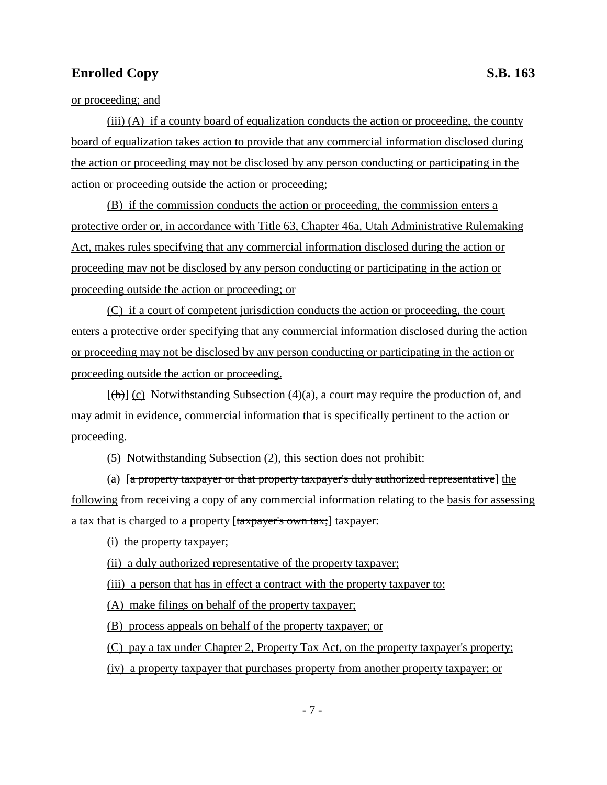(iii) (A) if a county board of equalization conducts the action or proceeding, the county board of equalization takes action to provide that any commercial information disclosed during the action or proceeding may not be disclosed by any person conducting or participating in the action or proceeding outside the action or proceeding;

(B) if the commission conducts the action or proceeding, the commission enters a protective order or, in accordance with Title 63, Chapter 46a, Utah Administrative Rulemaking Act, makes rules specifying that any commercial information disclosed during the action or proceeding may not be disclosed by any person conducting or participating in the action or proceeding outside the action or proceeding; or

(C) if a court of competent jurisdiction conducts the action or proceeding, the court enters a protective order specifying that any commercial information disclosed during the action or proceeding may not be disclosed by any person conducting or participating in the action or proceeding outside the action or proceeding.

 $[\biguplus]$  (c) Notwithstanding Subsection (4)(a), a court may require the production of, and may admit in evidence, commercial information that is specifically pertinent to the action or proceeding.

(5) Notwithstanding Subsection (2), this section does not prohibit:

(a) [a property taxpayer or that property taxpayer's duly authorized representative] the following from receiving a copy of any commercial information relating to the basis for assessing a tax that is charged to a property [taxpayer's own tax;] taxpayer:

(i) the property taxpayer;

(ii) a duly authorized representative of the property taxpayer;

(iii) a person that has in effect a contract with the property taxpayer to:

(A) make filings on behalf of the property taxpayer;

(B) process appeals on behalf of the property taxpayer; or

(C) pay a tax under Chapter 2, Property Tax Act, on the property taxpayer's property;

(iv) a property taxpayer that purchases property from another property taxpayer; or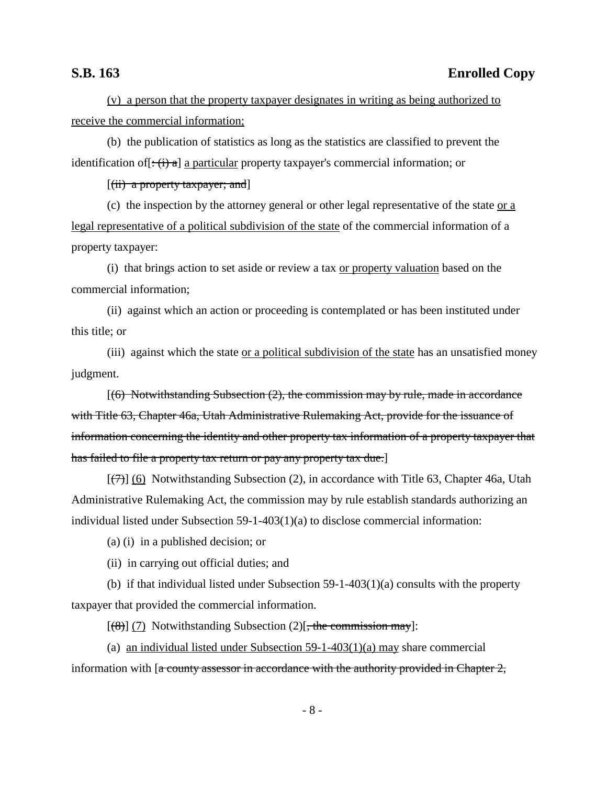## **S.B. 163 Enrolled Copy**

(v) a person that the property taxpayer designates in writing as being authorized to receive the commercial information;

(b) the publication of statistics as long as the statistics are classified to prevent the identification of  $[\div(\mathbf{i}) \cdot \mathbf{a}]$  a particular property taxpayer's commercial information; or

 $[(iii)$  a property taxpayer; and

(c) the inspection by the attorney general or other legal representative of the state  $or a$ </u> legal representative of a political subdivision of the state of the commercial information of a property taxpayer:

(i) that brings action to set aside or review a tax or property valuation based on the commercial information;

(ii) against which an action or proceeding is contemplated or has been instituted under this title; or

(iii) against which the state or a political subdivision of the state has an unsatisfied money judgment.

 $(6)$  Notwithstanding Subsection  $(2)$ , the commission may by rule, made in accordance with Title 63, Chapter 46a, Utah Administrative Rulemaking Act, provide for the issuance of information concerning the identity and other property tax information of a property taxpayer that has failed to file a property tax return or pay any property tax due.]

 $[(7)$ ] (6) Notwithstanding Subsection (2), in accordance with Title 63, Chapter 46a, Utah Administrative Rulemaking Act, the commission may by rule establish standards authorizing an individual listed under Subsection 59-1-403(1)(a) to disclose commercial information:

(a) (i) in a published decision; or

(ii) in carrying out official duties; and

(b) if that individual listed under Subsection  $59-1-403(1)(a)$  consults with the property taxpayer that provided the commercial information.

 $[(8)] (7)$  Notwithstanding Subsection (2)[, the commission may]:

(a) an individual listed under Subsection 59-1-403(1)(a) may share commercial information with  $\left[ \text{a country assessment in accordance with the authority provided in Chapter 2,} \right]$